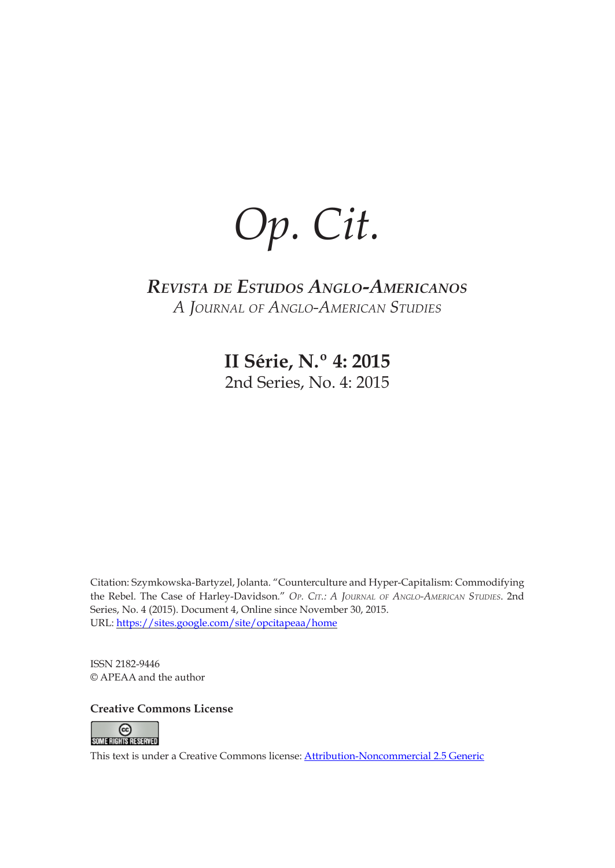*Op. Cit.*

# *Revista de Estudos Anglo-Americanos A Journal of Anglo-American Studies*

**II Série, N.º 4: 2015** 2nd Series, No. 4: 2015

Citation: Szymkowska-Bartyzel, Jolanta. "Counterculture and Hyper-Capitalism: Commodifying the Rebel. The Case of Harley-Davidson*.*" *Op. Cit.: A Journal of Anglo-American Studies*. 2nd Series, No. 4 (2015). Document 4, Online since November 30, 2015. URL:<https://sites.google.com/site/opcitapeaa/home>

ISSN 2182-9446 © APEAA and the author

**Creative Commons License**



This text is under a Creative Commons license: [Attribution-Noncommercial 2.5 Generic](http://www.creativecommons.org/licenses/by-nc/2.5/)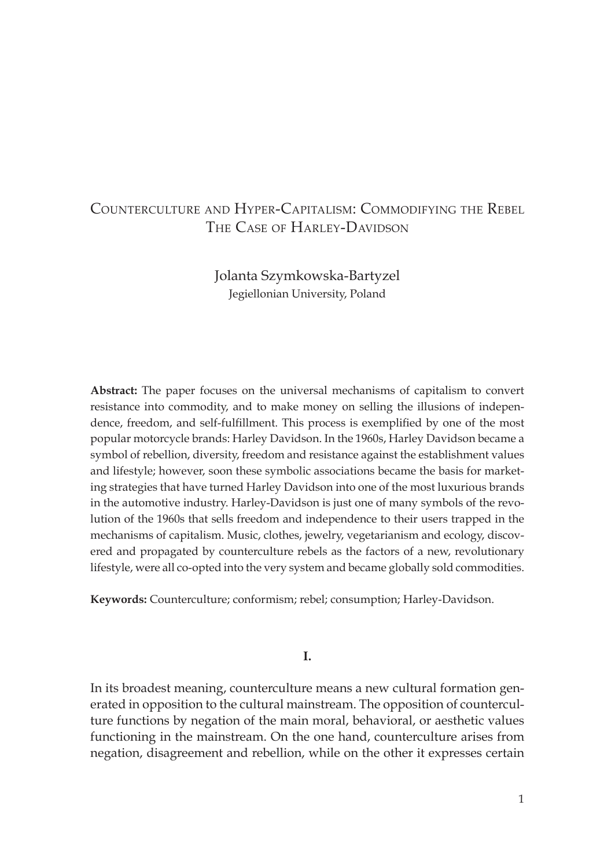## Counterculture and Hyper-Capitalism: Commodifying the Rebel THE CASE OF HARLEY-DAVIDSON

Jolanta Szymkowska-Bartyzel Jegiellonian University, Poland

**Abstract:** The paper focuses on the universal mechanisms of capitalism to convert resistance into commodity, and to make money on selling the illusions of independence, freedom, and self-fulfillment. This process is exemplified by one of the most popular motorcycle brands: Harley Davidson. In the 1960s, Harley Davidson became a symbol of rebellion, diversity, freedom and resistance against the establishment values and lifestyle; however, soon these symbolic associations became the basis for marketing strategies that have turned Harley Davidson into one of the most luxurious brands in the automotive industry. Harley-Davidson is just one of many symbols of the revolution of the 1960s that sells freedom and independence to their users trapped in the mechanisms of capitalism. Music, clothes, jewelry, vegetarianism and ecology, discovered and propagated by counterculture rebels as the factors of a new, revolutionary lifestyle, were all co-opted into the very system and became globally sold commodities.

**Keywords:** Counterculture; conformism; rebel; consumption; Harley-Davidson.

**I.**

In its broadest meaning, counterculture means a new cultural formation generated in opposition to the cultural mainstream. The opposition of counterculture functions by negation of the main moral, behavioral, or aesthetic values functioning in the mainstream. On the one hand, counterculture arises from negation, disagreement and rebellion, while on the other it expresses certain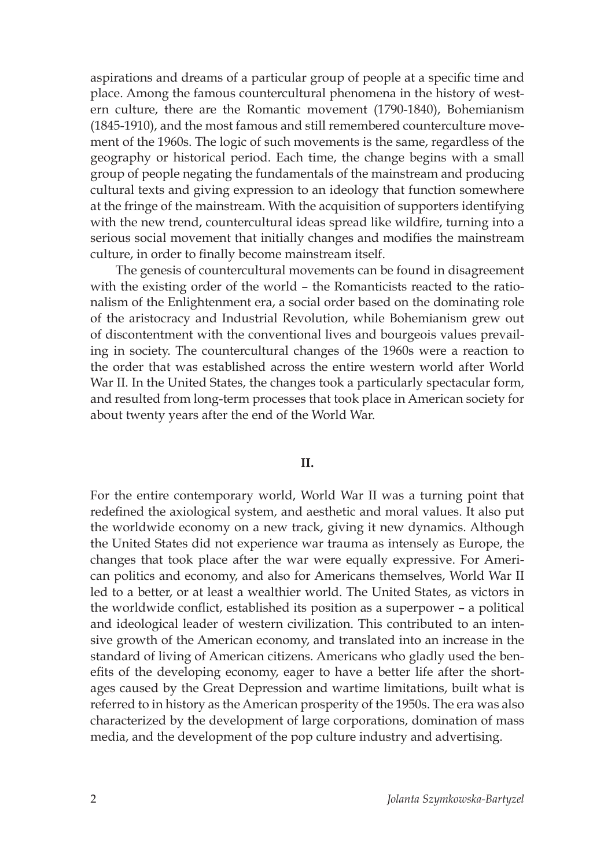aspirations and dreams of a particular group of people at a specific time and place. Among the famous countercultural phenomena in the history of western culture, there are the Romantic movement (1790-1840), Bohemianism (1845-1910), and the most famous and still remembered counterculture movement of the 1960s. The logic of such movements is the same, regardless of the geography or historical period. Each time, the change begins with a small group of people negating the fundamentals of the mainstream and producing cultural texts and giving expression to an ideology that function somewhere at the fringe of the mainstream. With the acquisition of supporters identifying with the new trend, countercultural ideas spread like wildfire, turning into a serious social movement that initially changes and modifies the mainstream culture, in order to finally become mainstream itself.

The genesis of countercultural movements can be found in disagreement with the existing order of the world – the Romanticists reacted to the rationalism of the Enlightenment era, a social order based on the dominating role of the aristocracy and Industrial Revolution, while Bohemianism grew out of discontentment with the conventional lives and bourgeois values prevailing in society. The countercultural changes of the 1960s were a reaction to the order that was established across the entire western world after World War II. In the United States, the changes took a particularly spectacular form, and resulted from long-term processes that took place in American society for about twenty years after the end of the World War.

#### **II.**

For the entire contemporary world, World War II was a turning point that redefined the axiological system, and aesthetic and moral values. It also put the worldwide economy on a new track, giving it new dynamics. Although the United States did not experience war trauma as intensely as Europe, the changes that took place after the war were equally expressive. For American politics and economy, and also for Americans themselves, World War II led to a better, or at least a wealthier world. The United States, as victors in the worldwide conflict, established its position as a superpower – a political and ideological leader of western civilization. This contributed to an intensive growth of the American economy, and translated into an increase in the standard of living of American citizens. Americans who gladly used the benefits of the developing economy, eager to have a better life after the shortages caused by the Great Depression and wartime limitations, built what is referred to in history as the American prosperity of the 1950s. The era was also characterized by the development of large corporations, domination of mass media, and the development of the pop culture industry and advertising.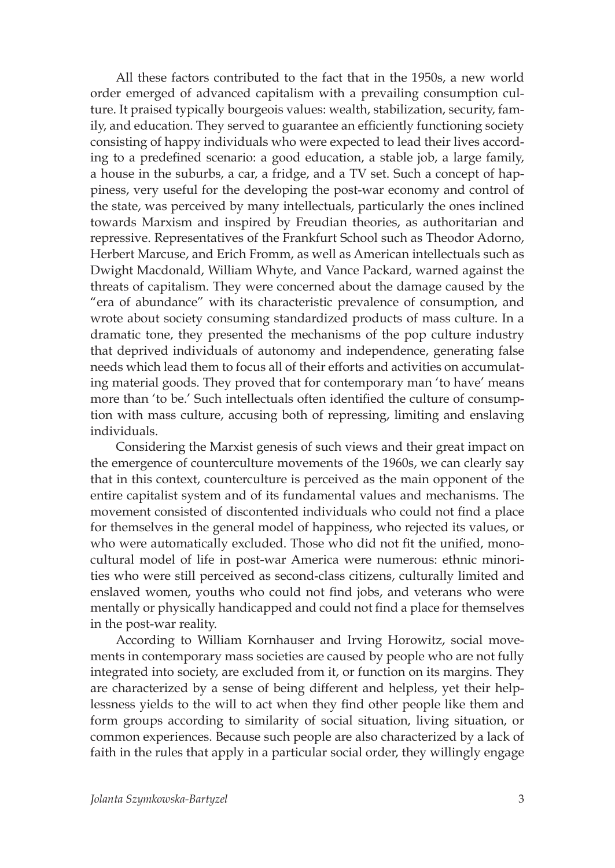All these factors contributed to the fact that in the 1950s, a new world order emerged of advanced capitalism with a prevailing consumption culture. It praised typically bourgeois values: wealth, stabilization, security, family, and education. They served to guarantee an efficiently functioning society consisting of happy individuals who were expected to lead their lives according to a predefined scenario: a good education, a stable job, a large family, a house in the suburbs, a car, a fridge, and a TV set. Such a concept of happiness, very useful for the developing the post-war economy and control of the state, was perceived by many intellectuals, particularly the ones inclined towards Marxism and inspired by Freudian theories, as authoritarian and repressive. Representatives of the Frankfurt School such as Theodor Adorno, Herbert Marcuse, and Erich Fromm, as well as American intellectuals such as Dwight Macdonald, William Whyte, and Vance Packard, warned against the threats of capitalism. They were concerned about the damage caused by the "era of abundance" with its characteristic prevalence of consumption, and wrote about society consuming standardized products of mass culture. In a dramatic tone, they presented the mechanisms of the pop culture industry that deprived individuals of autonomy and independence, generating false needs which lead them to focus all of their efforts and activities on accumulating material goods. They proved that for contemporary man 'to have' means more than 'to be.' Such intellectuals often identified the culture of consumption with mass culture, accusing both of repressing, limiting and enslaving individuals.

Considering the Marxist genesis of such views and their great impact on the emergence of counterculture movements of the 1960s, we can clearly say that in this context, counterculture is perceived as the main opponent of the entire capitalist system and of its fundamental values and mechanisms. The movement consisted of discontented individuals who could not find a place for themselves in the general model of happiness, who rejected its values, or who were automatically excluded. Those who did not fit the unified, monocultural model of life in post-war America were numerous: ethnic minorities who were still perceived as second-class citizens, culturally limited and enslaved women, youths who could not find jobs, and veterans who were mentally or physically handicapped and could not find a place for themselves in the post-war reality.

According to William Kornhauser and Irving Horowitz, social movements in contemporary mass societies are caused by people who are not fully integrated into society, are excluded from it, or function on its margins. They are characterized by a sense of being different and helpless, yet their helplessness yields to the will to act when they find other people like them and form groups according to similarity of social situation, living situation, or common experiences. Because such people are also characterized by a lack of faith in the rules that apply in a particular social order, they willingly engage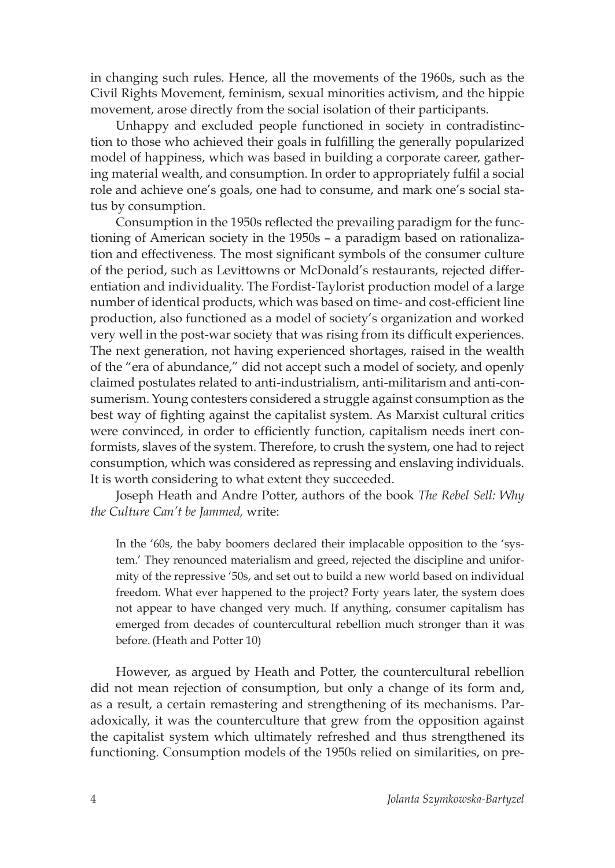in changing such rules. Hence, all the movements of the 1960s, such as the Civil Rights Movement, feminism, sexual minorities activism, and the hippie movement, arose directly from the social isolation of their participants.

Unhappy and excluded people functioned in society in contradistinction to those who achieved their goals in fulfilling the generally popularized model of happiness, which was based in building a corporate career, gathering material wealth, and consumption. In order to appropriately fulfil a social role and achieve one's goals, one had to consume, and mark one's social status by consumption.

Consumption in the 1950s reflected the prevailing paradigm for the functioning of American society in the 1950s – a paradigm based on rationalization and effectiveness. The most significant symbols of the consumer culture of the period, such as Levittowns or McDonald's restaurants, rejected differentiation and individuality. The Fordist-Taylorist production model of a large number of identical products, which was based on time- and cost-efficient line production, also functioned as a model of society's organization and worked very well in the post-war society that was rising from its difficult experiences. The next generation, not having experienced shortages, raised in the wealth of the "era of abundance," did not accept such a model of society, and openly claimed postulates related to anti-industrialism, anti-militarism and anti-consumerism. Young contesters considered a struggle against consumption as the best way of fighting against the capitalist system. As Marxist cultural critics were convinced, in order to efficiently function, capitalism needs inert conformists, slaves of the system. Therefore, to crush the system, one had to reject consumption, which was considered as repressing and enslaving individuals. It is worth considering to what extent they succeeded.

Joseph Heath and Andre Potter, authors of the book *The Rebel Sell: Why the Culture Can't be Jammed,* write:

In the '60s, the baby boomers declared their implacable opposition to the 'system.' They renounced materialism and greed, rejected the discipline and uniformity of the repressive '50s, and set out to build a new world based on individual freedom. What ever happened to the project? Forty years later, the system does not appear to have changed very much. If anything, consumer capitalism has emerged from decades of countercultural rebellion much stronger than it was before. (Heath and Potter 10)

However, as argued by Heath and Potter, the countercultural rebellion did not mean rejection of consumption, but only a change of its form and, as a result, a certain remastering and strengthening of its mechanisms. Paradoxically, it was the counterculture that grew from the opposition against the capitalist system which ultimately refreshed and thus strengthened its functioning. Consumption models of the 1950s relied on similarities, on pre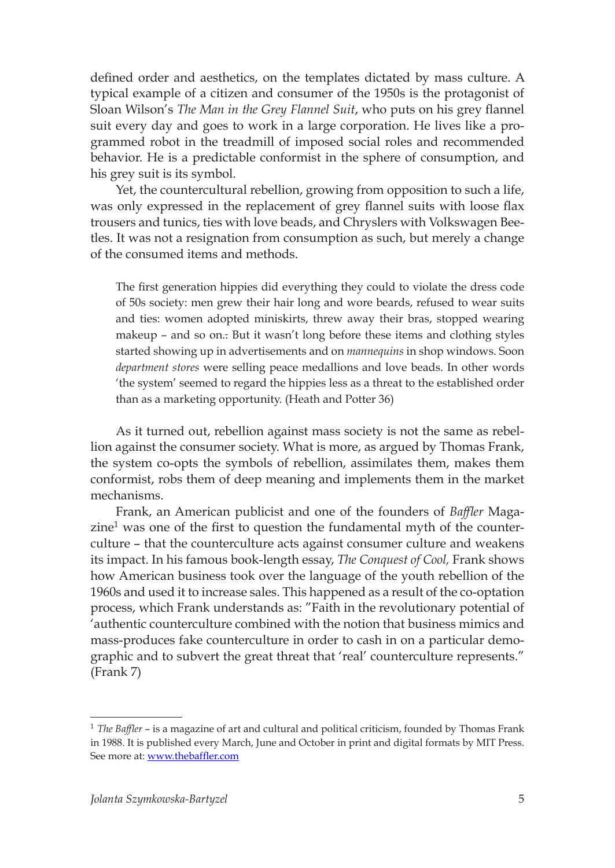defined order and aesthetics, on the templates dictated by mass culture. A typical example of a citizen and consumer of the 1950s is the protagonist of Sloan Wilson's *The Man in the Grey Flannel Suit*, who puts on his grey flannel suit every day and goes to work in a large corporation. He lives like a programmed robot in the treadmill of imposed social roles and recommended behavior. He is a predictable conformist in the sphere of consumption, and his grey suit is its symbol.

Yet, the countercultural rebellion, growing from opposition to such a life, was only expressed in the replacement of grey flannel suits with loose flax trousers and tunics, ties with love beads, and Chryslers with Volkswagen Beetles. It was not a resignation from consumption as such, but merely a change of the consumed items and methods.

The first generation hippies did everything they could to violate the dress code of 50s society: men grew their hair long and wore beards, refused to wear suits and ties: women adopted miniskirts, threw away their bras, stopped wearing makeup – and so on.. But it wasn't long before these items and clothing styles started showing up in advertisements and on *mannequins* in shop windows. Soon *department stores* were selling peace medallions and love beads. In other words 'the system' seemed to regard the hippies less as a threat to the established order than as a marketing opportunity. (Heath and Potter 36)

As it turned out, rebellion against mass society is not the same as rebellion against the consumer society. What is more, as argued by Thomas Frank, the system co-opts the symbols of rebellion, assimilates them, makes them conformist, robs them of deep meaning and implements them in the market mechanisms.

Frank, an American publicist and one of the founders of *Baffler* Maga $zine<sup>1</sup>$  was one of the first to question the fundamental myth of the counterculture – that the counterculture acts against consumer culture and weakens its impact. In his famous book-length essay, *The Conquest of Cool,* Frank shows how American business took over the language of the youth rebellion of the 1960s and used it to increase sales. This happened as a result of the co-optation process, which Frank understands as: "Faith in the revolutionary potential of 'authentic counterculture combined with the notion that business mimics and mass-produces fake counterculture in order to cash in on a particular demographic and to subvert the great threat that 'real' counterculture represents." (Frank 7)

<sup>1</sup> *The Baffler* – is a magazine of art and cultural and political criticism, founded by Thomas Frank in 1988. It is published every March, June and October in print and digital formats by MIT Press. See more at: [www.thebaffler.com](http://www.thebaffler.com/)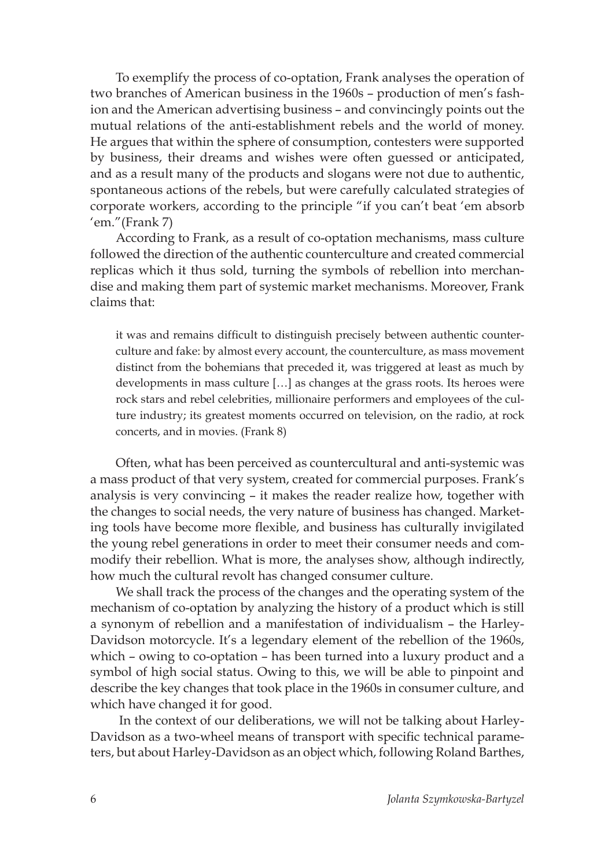To exemplify the process of co-optation, Frank analyses the operation of two branches of American business in the 1960s – production of men's fashion and the American advertising business – and convincingly points out the mutual relations of the anti-establishment rebels and the world of money. He argues that within the sphere of consumption, contesters were supported by business, their dreams and wishes were often guessed or anticipated, and as a result many of the products and slogans were not due to authentic, spontaneous actions of the rebels, but were carefully calculated strategies of corporate workers, according to the principle "if you can't beat 'em absorb 'em."(Frank 7)

According to Frank, as a result of co-optation mechanisms, mass culture followed the direction of the authentic counterculture and created commercial replicas which it thus sold, turning the symbols of rebellion into merchandise and making them part of systemic market mechanisms. Moreover, Frank claims that:

it was and remains difficult to distinguish precisely between authentic counterculture and fake: by almost every account, the counterculture, as mass movement distinct from the bohemians that preceded it, was triggered at least as much by developments in mass culture […] as changes at the grass roots. Its heroes were rock stars and rebel celebrities, millionaire performers and employees of the culture industry; its greatest moments occurred on television, on the radio, at rock concerts, and in movies. (Frank 8)

Often, what has been perceived as countercultural and anti-systemic was a mass product of that very system, created for commercial purposes. Frank's analysis is very convincing – it makes the reader realize how, together with the changes to social needs, the very nature of business has changed. Marketing tools have become more flexible, and business has culturally invigilated the young rebel generations in order to meet their consumer needs and commodify their rebellion. What is more, the analyses show, although indirectly, how much the cultural revolt has changed consumer culture.

We shall track the process of the changes and the operating system of the mechanism of co-optation by analyzing the history of a product which is still a synonym of rebellion and a manifestation of individualism – the Harley-Davidson motorcycle. It's a legendary element of the rebellion of the 1960s, which – owing to co-optation – has been turned into a luxury product and a symbol of high social status. Owing to this, we will be able to pinpoint and describe the key changes that took place in the 1960s in consumer culture, and which have changed it for good.

 In the context of our deliberations, we will not be talking about Harley-Davidson as a two-wheel means of transport with specific technical parameters, but about Harley-Davidson as an object which, following Roland Barthes,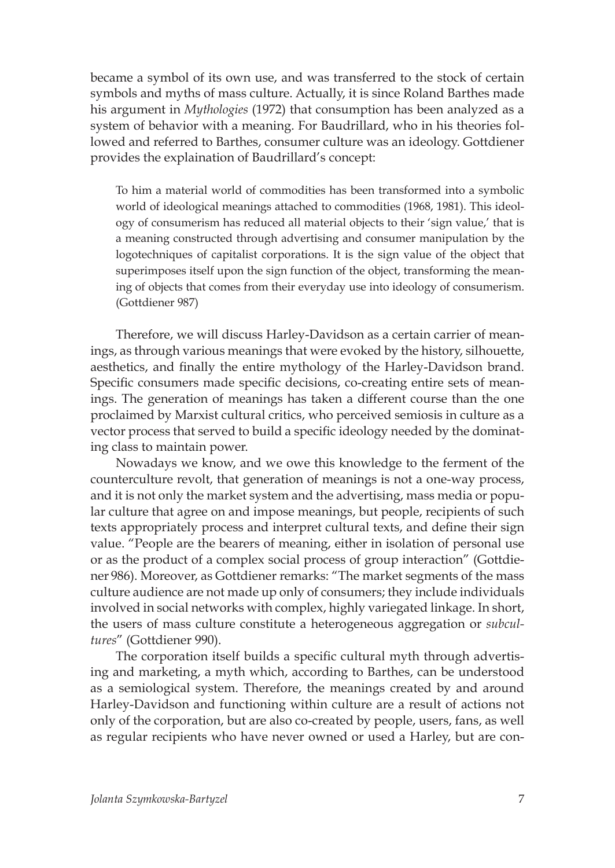became a symbol of its own use, and was transferred to the stock of certain symbols and myths of mass culture. Actually, it is since Roland Barthes made his argument in *Mythologies* (1972) that consumption has been analyzed as a system of behavior with a meaning. For Baudrillard, who in his theories followed and referred to Barthes, consumer culture was an ideology. Gottdiener provides the explaination of Baudrillard's concept:

To him a material world of commodities has been transformed into a symbolic world of ideological meanings attached to commodities (1968, 1981). This ideology of consumerism has reduced all material objects to their 'sign value,' that is a meaning constructed through advertising and consumer manipulation by the logotechniques of capitalist corporations. It is the sign value of the object that superimposes itself upon the sign function of the object, transforming the meaning of objects that comes from their everyday use into ideology of consumerism. (Gottdiener 987)

Therefore, we will discuss Harley-Davidson as a certain carrier of meanings, as through various meanings that were evoked by the history, silhouette, aesthetics, and finally the entire mythology of the Harley-Davidson brand. Specific consumers made specific decisions, co-creating entire sets of meanings. The generation of meanings has taken a different course than the one proclaimed by Marxist cultural critics, who perceived semiosis in culture as a vector process that served to build a specific ideology needed by the dominating class to maintain power.

Nowadays we know, and we owe this knowledge to the ferment of the counterculture revolt, that generation of meanings is not a one-way process, and it is not only the market system and the advertising, mass media or popular culture that agree on and impose meanings, but people, recipients of such texts appropriately process and interpret cultural texts, and define their sign value. "People are the bearers of meaning, either in isolation of personal use or as the product of a complex social process of group interaction" (Gottdiener 986). Moreover, as Gottdiener remarks: "The market segments of the mass culture audience are not made up only of consumers; they include individuals involved in social networks with complex, highly variegated linkage. In short, the users of mass culture constitute a heterogeneous aggregation or *subcultures*" (Gottdiener 990).

The corporation itself builds a specific cultural myth through advertising and marketing, a myth which, according to Barthes, can be understood as a semiological system. Therefore, the meanings created by and around Harley-Davidson and functioning within culture are a result of actions not only of the corporation, but are also co-created by people, users, fans, as well as regular recipients who have never owned or used a Harley, but are con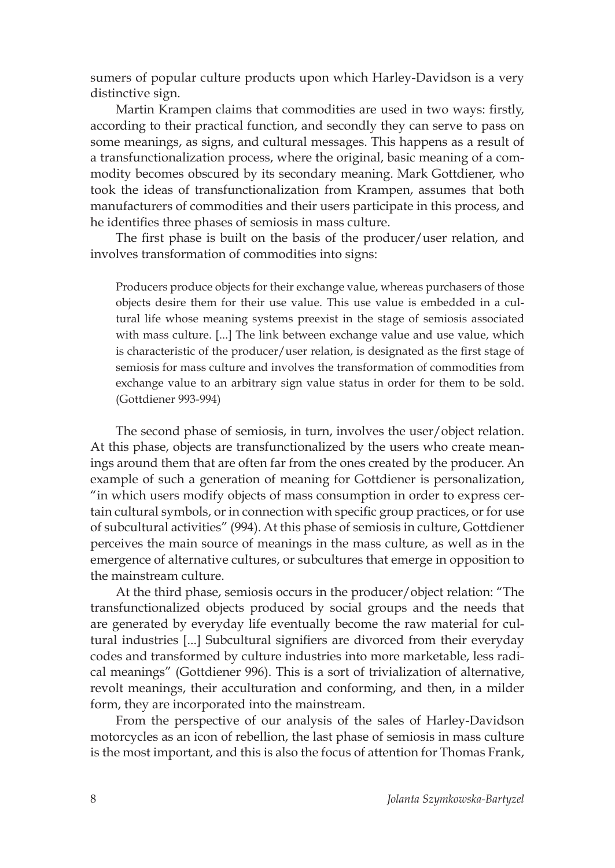sumers of popular culture products upon which Harley-Davidson is a very distinctive sign.

Martin Krampen claims that commodities are used in two ways: firstly, according to their practical function, and secondly they can serve to pass on some meanings, as signs, and cultural messages. This happens as a result of a transfunctionalization process, where the original, basic meaning of a commodity becomes obscured by its secondary meaning. Mark Gottdiener, who took the ideas of transfunctionalization from Krampen, assumes that both manufacturers of commodities and their users participate in this process, and he identifies three phases of semiosis in mass culture.

The first phase is built on the basis of the producer/user relation, and involves transformation of commodities into signs:

Producers produce objects for their exchange value, whereas purchasers of those objects desire them for their use value. This use value is embedded in a cultural life whose meaning systems preexist in the stage of semiosis associated with mass culture. [...] The link between exchange value and use value, which is characteristic of the producer/user relation, is designated as the first stage of semiosis for mass culture and involves the transformation of commodities from exchange value to an arbitrary sign value status in order for them to be sold. (Gottdiener 993-994)

The second phase of semiosis, in turn, involves the user/object relation. At this phase, objects are transfunctionalized by the users who create meanings around them that are often far from the ones created by the producer. An example of such a generation of meaning for Gottdiener is personalization, "in which users modify objects of mass consumption in order to express certain cultural symbols, or in connection with specific group practices, or for use of subcultural activities" (994). At this phase of semiosis in culture, Gottdiener perceives the main source of meanings in the mass culture, as well as in the emergence of alternative cultures, or subcultures that emerge in opposition to the mainstream culture.

At the third phase, semiosis occurs in the producer/object relation: "The transfunctionalized objects produced by social groups and the needs that are generated by everyday life eventually become the raw material for cultural industries [...] Subcultural signifiers are divorced from their everyday codes and transformed by culture industries into more marketable, less radical meanings" (Gottdiener 996). This is a sort of trivialization of alternative, revolt meanings, their acculturation and conforming, and then, in a milder form, they are incorporated into the mainstream.

From the perspective of our analysis of the sales of Harley-Davidson motorcycles as an icon of rebellion, the last phase of semiosis in mass culture is the most important, and this is also the focus of attention for Thomas Frank,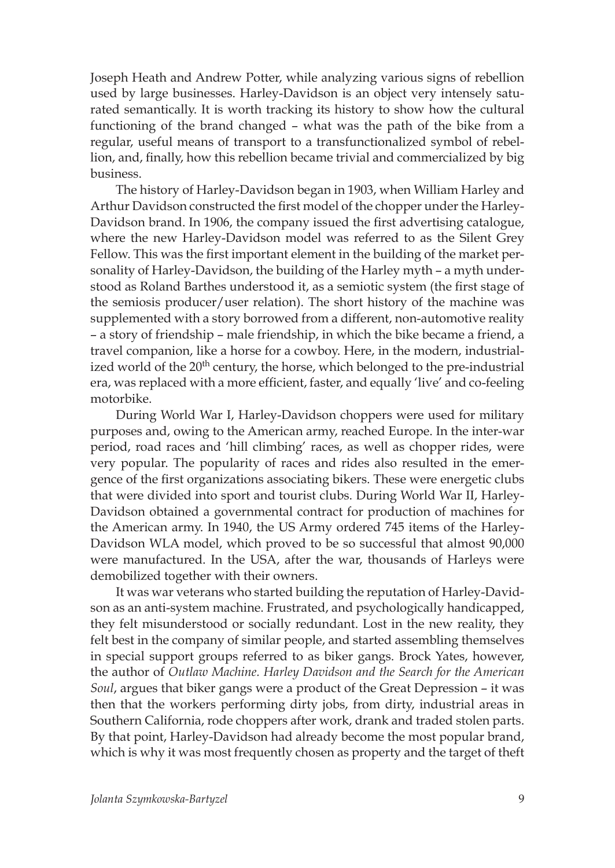Joseph Heath and Andrew Potter, while analyzing various signs of rebellion used by large businesses. Harley-Davidson is an object very intensely saturated semantically. It is worth tracking its history to show how the cultural functioning of the brand changed – what was the path of the bike from a regular, useful means of transport to a transfunctionalized symbol of rebellion, and, finally, how this rebellion became trivial and commercialized by big business.

The history of Harley-Davidson began in 1903, when William Harley and Arthur Davidson constructed the first model of the chopper under the Harley-Davidson brand. In 1906, the company issued the first advertising catalogue, where the new Harley-Davidson model was referred to as the Silent Grey Fellow. This was the first important element in the building of the market personality of Harley-Davidson, the building of the Harley myth – a myth understood as Roland Barthes understood it, as a semiotic system (the first stage of the semiosis producer/user relation). The short history of the machine was supplemented with a story borrowed from a different, non-automotive reality – a story of friendship – male friendship, in which the bike became a friend, a travel companion, like a horse for a cowboy. Here, in the modern, industrialized world of the 20<sup>th</sup> century, the horse, which belonged to the pre-industrial era, was replaced with a more efficient, faster, and equally 'live' and co-feeling motorbike.

During World War I, Harley-Davidson choppers were used for military purposes and, owing to the American army, reached Europe. In the inter-war period, road races and 'hill climbing' races, as well as chopper rides, were very popular. The popularity of races and rides also resulted in the emergence of the first organizations associating bikers. These were energetic clubs that were divided into sport and tourist clubs. During World War II, Harley-Davidson obtained a governmental contract for production of machines for the American army. In 1940, the US Army ordered 745 items of the Harley-Davidson WLA model, which proved to be so successful that almost 90,000 were manufactured. In the USA, after the war, thousands of Harleys were demobilized together with their owners.

It was war veterans who started building the reputation of Harley-Davidson as an anti-system machine. Frustrated, and psychologically handicapped, they felt misunderstood or socially redundant. Lost in the new reality, they felt best in the company of similar people, and started assembling themselves in special support groups referred to as biker gangs. Brock Yates, however, the author of *Outlaw Machine. Harley Davidson and the Search for the American Soul*, argues that biker gangs were a product of the Great Depression – it was then that the workers performing dirty jobs, from dirty, industrial areas in Southern California, rode choppers after work, drank and traded stolen parts. By that point, Harley-Davidson had already become the most popular brand, which is why it was most frequently chosen as property and the target of theft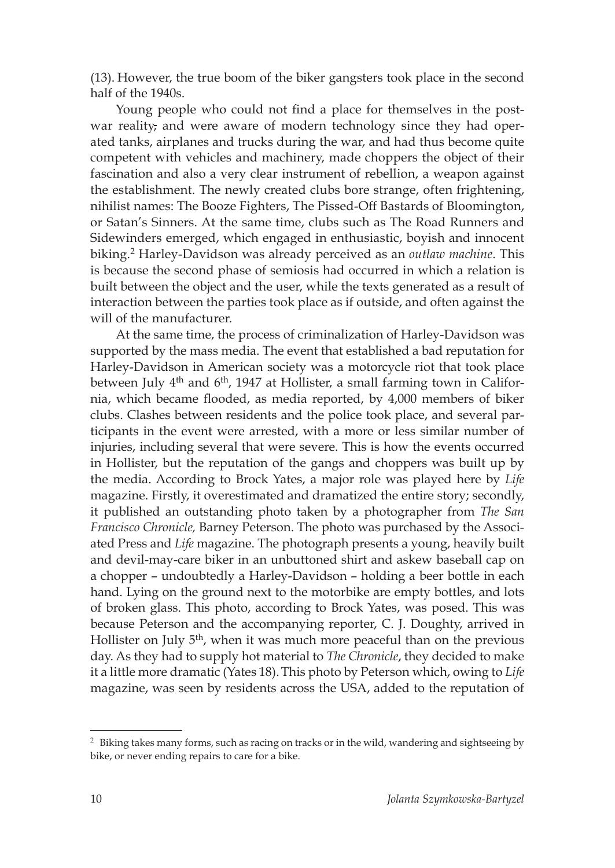(13). However, the true boom of the biker gangsters took place in the second half of the 1940s.

Young people who could not find a place for themselves in the postwar reality, and were aware of modern technology since they had operated tanks, airplanes and trucks during the war, and had thus become quite competent with vehicles and machinery, made choppers the object of their fascination and also a very clear instrument of rebellion, a weapon against the establishment. The newly created clubs bore strange, often frightening, nihilist names: The Booze Fighters, The Pissed-Off Bastards of Bloomington, or Satan's Sinners. At the same time, clubs such as The Road Runners and Sidewinders emerged, which engaged in enthusiastic, boyish and innocent biking.2 Harley-Davidson was already perceived as an *outlaw machine*. This is because the second phase of semiosis had occurred in which a relation is built between the object and the user, while the texts generated as a result of interaction between the parties took place as if outside, and often against the will of the manufacturer.

At the same time, the process of criminalization of Harley-Davidson was supported by the mass media. The event that established a bad reputation for Harley-Davidson in American society was a motorcycle riot that took place between July 4<sup>th</sup> and 6<sup>th</sup>, 1947 at Hollister, a small farming town in California, which became flooded, as media reported, by 4,000 members of biker clubs. Clashes between residents and the police took place, and several participants in the event were arrested, with a more or less similar number of injuries, including several that were severe. This is how the events occurred in Hollister, but the reputation of the gangs and choppers was built up by the media. According to Brock Yates, a major role was played here by *Life* magazine. Firstly, it overestimated and dramatized the entire story; secondly, it published an outstanding photo taken by a photographer from *The San Francisco Chronicle,* Barney Peterson. The photo was purchased by the Associated Press and *Life* magazine. The photograph presents a young, heavily built and devil-may-care biker in an unbuttoned shirt and askew baseball cap on a chopper – undoubtedly a Harley-Davidson – holding a beer bottle in each hand. Lying on the ground next to the motorbike are empty bottles, and lots of broken glass. This photo, according to Brock Yates, was posed. This was because Peterson and the accompanying reporter, C. J. Doughty, arrived in Hollister on July  $5<sup>th</sup>$ , when it was much more peaceful than on the previous day. As they had to supply hot material to *The Chronicle*, they decided to make it a little more dramatic (Yates 18).This photo by Peterson which, owing to *Life*  magazine, was seen by residents across the USA, added to the reputation of

<sup>&</sup>lt;sup>2</sup> Biking takes many forms, such as racing on tracks or in the wild, wandering and sightseeing by bike, or never ending repairs to care for a bike.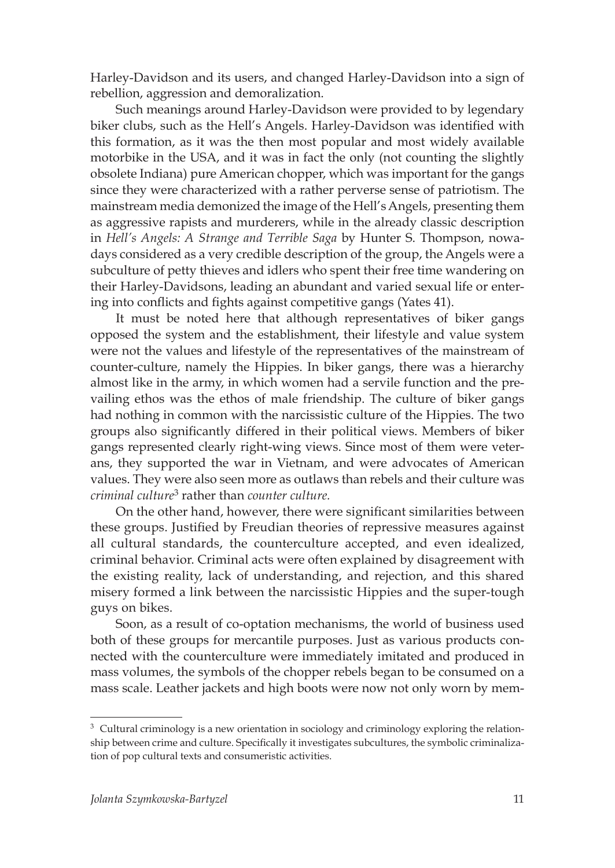Harley-Davidson and its users, and changed Harley-Davidson into a sign of rebellion, aggression and demoralization.

Such meanings around Harley-Davidson were provided to by legendary biker clubs, such as the Hell's Angels. Harley-Davidson was identified with this formation, as it was the then most popular and most widely available motorbike in the USA, and it was in fact the only (not counting the slightly obsolete Indiana) pure American chopper, which was important for the gangs since they were characterized with a rather perverse sense of patriotism. The mainstream media demonized the image of the Hell's Angels, presenting them as aggressive rapists and murderers, while in the already classic description in *Hell's Angels: A Strange and Terrible Saga* by Hunter S. Thompson, nowadays considered as a very credible description of the group, the Angels were a subculture of petty thieves and idlers who spent their free time wandering on their Harley-Davidsons, leading an abundant and varied sexual life or entering into conflicts and fights against competitive gangs (Yates 41).

It must be noted here that although representatives of biker gangs opposed the system and the establishment, their lifestyle and value system were not the values and lifestyle of the representatives of the mainstream of counter-culture, namely the Hippies. In biker gangs, there was a hierarchy almost like in the army, in which women had a servile function and the prevailing ethos was the ethos of male friendship. The culture of biker gangs had nothing in common with the narcissistic culture of the Hippies. The two groups also significantly differed in their political views. Members of biker gangs represented clearly right-wing views. Since most of them were veterans, they supported the war in Vietnam, and were advocates of American values. They were also seen more as outlaws than rebels and their culture was *criminal culture*3 rather than *counter culture.*

On the other hand, however, there were significant similarities between these groups. Justified by Freudian theories of repressive measures against all cultural standards, the counterculture accepted, and even idealized, criminal behavior. Criminal acts were often explained by disagreement with the existing reality, lack of understanding, and rejection, and this shared misery formed a link between the narcissistic Hippies and the super-tough guys on bikes.

Soon, as a result of co-optation mechanisms, the world of business used both of these groups for mercantile purposes. Just as various products connected with the counterculture were immediately imitated and produced in mass volumes, the symbols of the chopper rebels began to be consumed on a mass scale. Leather jackets and high boots were now not only worn by mem-

<sup>&</sup>lt;sup>3</sup> Cultural criminology is a new orientation in sociology and criminology exploring the relationship between crime and culture. Specifically it investigates subcultures, the symbolic criminalization of pop cultural texts and consumeristic activities.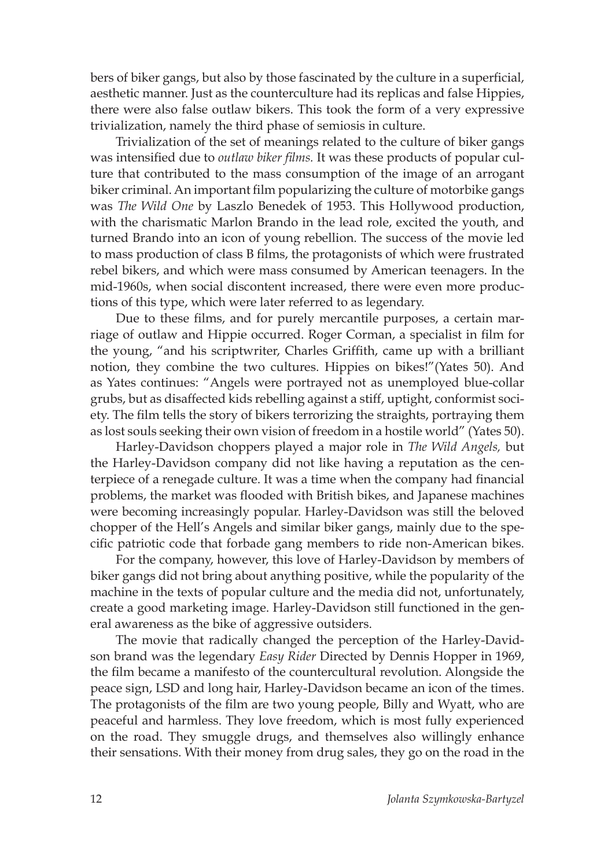bers of biker gangs, but also by those fascinated by the culture in a superficial, aesthetic manner. Just as the counterculture had its replicas and false Hippies, there were also false outlaw bikers. This took the form of a very expressive trivialization, namely the third phase of semiosis in culture.

Trivialization of the set of meanings related to the culture of biker gangs was intensified due to *outlaw biker films.* It was these products of popular culture that contributed to the mass consumption of the image of an arrogant biker criminal. An important film popularizing the culture of motorbike gangs was *The Wild One* by Laszlo Benedek of 1953. This Hollywood production, with the charismatic Marlon Brando in the lead role, excited the youth, and turned Brando into an icon of young rebellion. The success of the movie led to mass production of class B films, the protagonists of which were frustrated rebel bikers, and which were mass consumed by American teenagers. In the mid-1960s, when social discontent increased, there were even more productions of this type, which were later referred to as legendary.

Due to these films, and for purely mercantile purposes, a certain marriage of outlaw and Hippie occurred. Roger Corman, a specialist in film for the young, "and his scriptwriter, Charles Griffith, came up with a brilliant notion, they combine the two cultures. Hippies on bikes!"(Yates 50). And as Yates continues: "Angels were portrayed not as unemployed blue-collar grubs, but as disaffected kids rebelling against a stiff, uptight, conformist society. The film tells the story of bikers terrorizing the straights, portraying them as lost souls seeking their own vision of freedom in a hostile world" (Yates 50).

Harley-Davidson choppers played a major role in *The Wild Angels,* but the Harley-Davidson company did not like having a reputation as the centerpiece of a renegade culture. It was a time when the company had financial problems, the market was flooded with British bikes, and Japanese machines were becoming increasingly popular. Harley-Davidson was still the beloved chopper of the Hell's Angels and similar biker gangs, mainly due to the specific patriotic code that forbade gang members to ride non-American bikes.

For the company, however, this love of Harley-Davidson by members of biker gangs did not bring about anything positive, while the popularity of the machine in the texts of popular culture and the media did not, unfortunately, create a good marketing image. Harley-Davidson still functioned in the general awareness as the bike of aggressive outsiders.

The movie that radically changed the perception of the Harley-Davidson brand was the legendary *Easy Rider* Directed by Dennis Hopper in 1969, the film became a manifesto of the countercultural revolution. Alongside the peace sign, LSD and long hair, Harley-Davidson became an icon of the times. The protagonists of the film are two young people, Billy and Wyatt, who are peaceful and harmless. They love freedom, which is most fully experienced on the road. They smuggle drugs, and themselves also willingly enhance their sensations. With their money from drug sales, they go on the road in the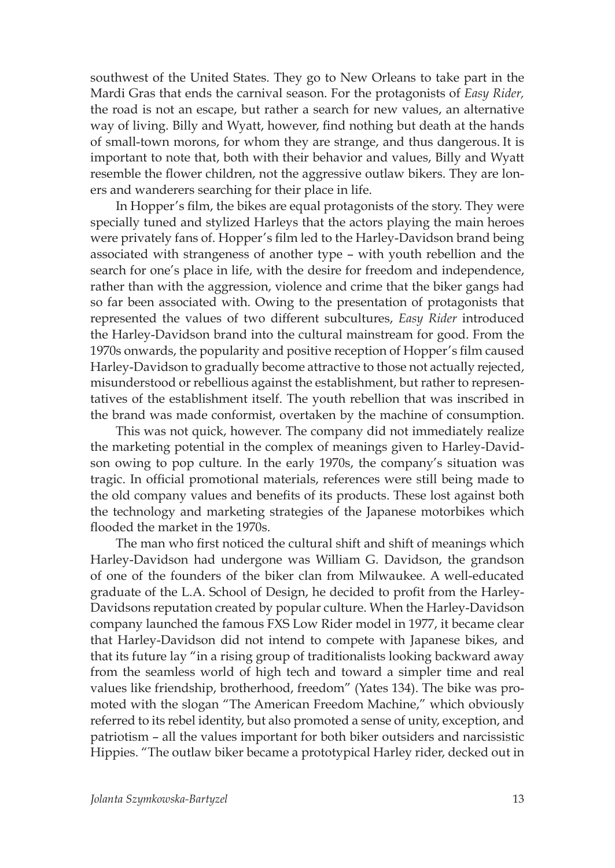southwest of the United States. They go to New Orleans to take part in the Mardi Gras that ends the carnival season. For the protagonists of *Easy Rider,*  the road is not an escape, but rather a search for new values, an alternative way of living. Billy and Wyatt, however, find nothing but death at the hands of small-town morons, for whom they are strange, and thus dangerous. It is important to note that, both with their behavior and values, Billy and Wyatt resemble the flower children, not the aggressive outlaw bikers. They are loners and wanderers searching for their place in life.

In Hopper's film, the bikes are equal protagonists of the story. They were specially tuned and stylized Harleys that the actors playing the main heroes were privately fans of. Hopper's film led to the Harley-Davidson brand being associated with strangeness of another type – with youth rebellion and the search for one's place in life, with the desire for freedom and independence, rather than with the aggression, violence and crime that the biker gangs had so far been associated with. Owing to the presentation of protagonists that represented the values of two different subcultures, *Easy Rider* introduced the Harley-Davidson brand into the cultural mainstream for good. From the 1970s onwards, the popularity and positive reception of Hopper's film caused Harley-Davidson to gradually become attractive to those not actually rejected, misunderstood or rebellious against the establishment, but rather to representatives of the establishment itself. The youth rebellion that was inscribed in the brand was made conformist, overtaken by the machine of consumption.

This was not quick, however. The company did not immediately realize the marketing potential in the complex of meanings given to Harley-Davidson owing to pop culture. In the early 1970s, the company's situation was tragic. In official promotional materials, references were still being made to the old company values and benefits of its products. These lost against both the technology and marketing strategies of the Japanese motorbikes which flooded the market in the 1970s.

The man who first noticed the cultural shift and shift of meanings which Harley-Davidson had undergone was William G. Davidson, the grandson of one of the founders of the biker clan from Milwaukee. A well-educated graduate of the L.A. School of Design, he decided to profit from the Harley-Davidsons reputation created by popular culture. When the Harley-Davidson company launched the famous FXS Low Rider model in 1977, it became clear that Harley-Davidson did not intend to compete with Japanese bikes, and that its future lay "in a rising group of traditionalists looking backward away from the seamless world of high tech and toward a simpler time and real values like friendship, brotherhood, freedom" (Yates 134). The bike was promoted with the slogan "The American Freedom Machine," which obviously referred to its rebel identity, but also promoted a sense of unity, exception, and patriotism – all the values important for both biker outsiders and narcissistic Hippies. "The outlaw biker became a prototypical Harley rider, decked out in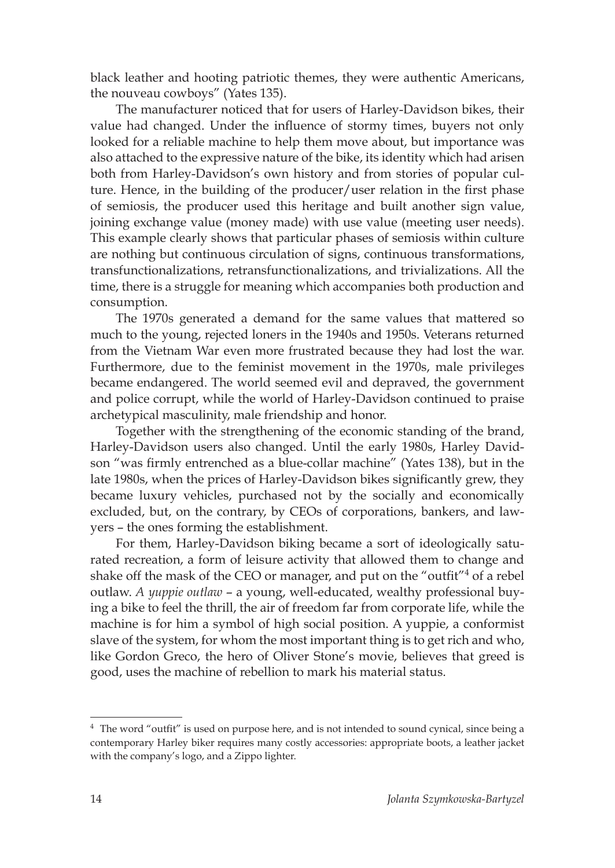black leather and hooting patriotic themes, they were authentic Americans, the nouveau cowboys" (Yates 135).

The manufacturer noticed that for users of Harley-Davidson bikes, their value had changed. Under the influence of stormy times, buyers not only looked for a reliable machine to help them move about, but importance was also attached to the expressive nature of the bike, its identity which had arisen both from Harley-Davidson's own history and from stories of popular culture. Hence, in the building of the producer/user relation in the first phase of semiosis, the producer used this heritage and built another sign value, joining exchange value (money made) with use value (meeting user needs). This example clearly shows that particular phases of semiosis within culture are nothing but continuous circulation of signs, continuous transformations, transfunctionalizations, retransfunctionalizations, and trivializations. All the time, there is a struggle for meaning which accompanies both production and consumption.

The 1970s generated a demand for the same values that mattered so much to the young, rejected loners in the 1940s and 1950s. Veterans returned from the Vietnam War even more frustrated because they had lost the war. Furthermore, due to the feminist movement in the 1970s, male privileges became endangered. The world seemed evil and depraved, the government and police corrupt, while the world of Harley-Davidson continued to praise archetypical masculinity, male friendship and honor.

Together with the strengthening of the economic standing of the brand, Harley-Davidson users also changed. Until the early 1980s, Harley Davidson "was firmly entrenched as a blue-collar machine" (Yates 138), but in the late 1980s, when the prices of Harley-Davidson bikes significantly grew, they became luxury vehicles, purchased not by the socially and economically excluded, but, on the contrary, by CEOs of corporations, bankers, and lawyers – the ones forming the establishment.

For them, Harley-Davidson biking became a sort of ideologically saturated recreation, a form of leisure activity that allowed them to change and shake off the mask of the CEO or manager, and put on the "outfit"<sup>4</sup> of a rebel outlaw. *A yuppie outlaw* – a young, well-educated, wealthy professional buying a bike to feel the thrill, the air of freedom far from corporate life, while the machine is for him a symbol of high social position. A yuppie, a conformist slave of the system, for whom the most important thing is to get rich and who, like Gordon Greco, the hero of Oliver Stone's movie, believes that greed is good, uses the machine of rebellion to mark his material status.

<sup>4</sup> The word "outfit" is used on purpose here, and is not intended to sound cynical, since being a contemporary Harley biker requires many costly accessories: appropriate boots, a leather jacket with the company's logo, and a Zippo lighter.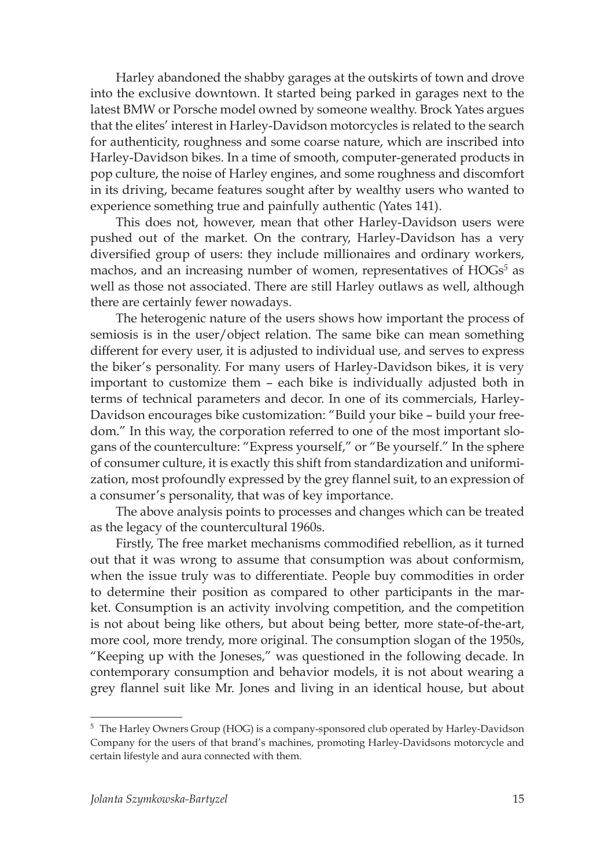Harley abandoned the shabby garages at the outskirts of town and drove into the exclusive downtown. It started being parked in garages next to the latest BMW or Porsche model owned by someone wealthy. Brock Yates argues that the elites' interest in Harley-Davidson motorcycles is related to the search for authenticity, roughness and some coarse nature, which are inscribed into Harley-Davidson bikes. In a time of smooth, computer-generated products in pop culture, the noise of Harley engines, and some roughness and discomfort in its driving, became features sought after by wealthy users who wanted to experience something true and painfully authentic (Yates 141).

This does not, however, mean that other Harley-Davidson users were pushed out of the market. On the contrary, Harley-Davidson has a very diversified group of users: they include millionaires and ordinary workers, machos, and an increasing number of women, representatives of HOGs*<sup>5</sup>* as well as those not associated. There are still Harley outlaws as well, although there are certainly fewer nowadays.

The heterogenic nature of the users shows how important the process of semiosis is in the user/object relation. The same bike can mean something different for every user, it is adjusted to individual use, and serves to express the biker's personality. For many users of Harley-Davidson bikes, it is very important to customize them – each bike is individually adjusted both in terms of technical parameters and decor. In one of its commercials, Harley-Davidson encourages bike customization: "Build your bike – build your freedom." In this way, the corporation referred to one of the most important slogans of the counterculture: "Express yourself," or "Be yourself." In the sphere of consumer culture, it is exactly this shift from standardization and uniformization, most profoundly expressed by the grey flannel suit, to an expression of a consumer's personality, that was of key importance.

The above analysis points to processes and changes which can be treated as the legacy of the countercultural 1960s.

Firstly, The free market mechanisms commodified rebellion, as it turned out that it was wrong to assume that consumption was about conformism, when the issue truly was to differentiate. People buy commodities in order to determine their position as compared to other participants in the market. Consumption is an activity involving competition, and the competition is not about being like others, but about being better, more state-of-the-art, more cool, more trendy, more original. The consumption slogan of the 1950s, "Keeping up with the Joneses," was questioned in the following decade. In contemporary consumption and behavior models, it is not about wearing a grey flannel suit like Mr. Jones and living in an identical house, but about

<sup>5</sup> The Harley Owners Group (HOG) is a company-sponsored club operated by Harley-Davidson Company for the users of that brand's machines, promoting Harley-Davidsons motorcycle and certain lifestyle and aura connected with them.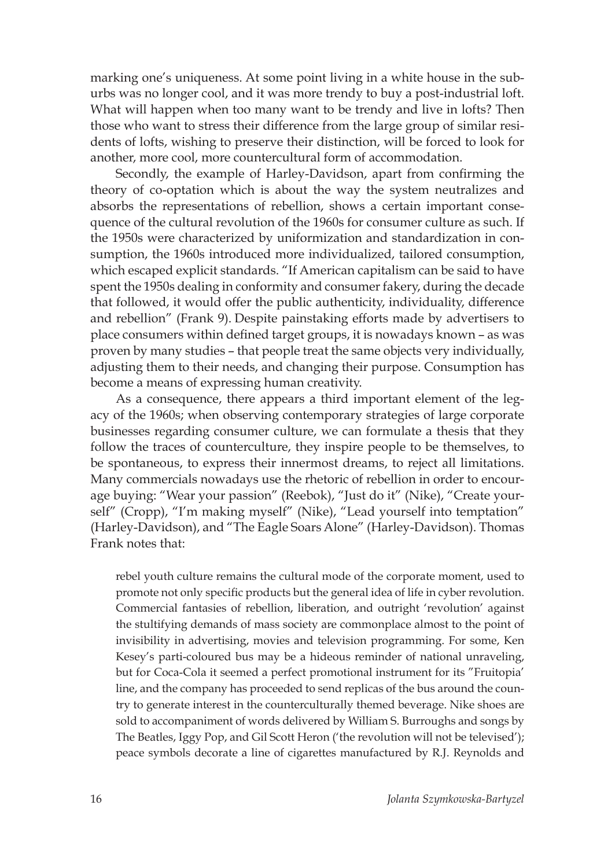marking one's uniqueness. At some point living in a white house in the suburbs was no longer cool, and it was more trendy to buy a post-industrial loft. What will happen when too many want to be trendy and live in lofts? Then those who want to stress their difference from the large group of similar residents of lofts, wishing to preserve their distinction, will be forced to look for another, more cool, more countercultural form of accommodation.

Secondly, the example of Harley-Davidson, apart from confirming the theory of co-optation which is about the way the system neutralizes and absorbs the representations of rebellion, shows a certain important consequence of the cultural revolution of the 1960s for consumer culture as such. If the 1950s were characterized by uniformization and standardization in consumption, the 1960s introduced more individualized, tailored consumption, which escaped explicit standards. "If American capitalism can be said to have spent the 1950s dealing in conformity and consumer fakery, during the decade that followed, it would offer the public authenticity, individuality, difference and rebellion" (Frank 9). Despite painstaking efforts made by advertisers to place consumers within defined target groups, it is nowadays known – as was proven by many studies – that people treat the same objects very individually, adjusting them to their needs, and changing their purpose. Consumption has become a means of expressing human creativity.

As a consequence, there appears a third important element of the legacy of the 1960s; when observing contemporary strategies of large corporate businesses regarding consumer culture, we can formulate a thesis that they follow the traces of counterculture, they inspire people to be themselves, to be spontaneous, to express their innermost dreams, to reject all limitations. Many commercials nowadays use the rhetoric of rebellion in order to encourage buying: "Wear your passion" (Reebok), "Just do it" (Nike), "Create yourself" (Cropp), "I'm making myself" (Nike), "Lead yourself into temptation" (Harley-Davidson), and "The Eagle Soars Alone" (Harley-Davidson). Thomas Frank notes that:

rebel youth culture remains the cultural mode of the corporate moment, used to promote not only specific products but the general idea of life in cyber revolution. Commercial fantasies of rebellion, liberation, and outright 'revolution' against the stultifying demands of mass society are commonplace almost to the point of invisibility in advertising, movies and television programming. For some, Ken Kesey's parti-coloured bus may be a hideous reminder of national unraveling, but for Coca-Cola it seemed a perfect promotional instrument for its "Fruitopia' line, and the company has proceeded to send replicas of the bus around the country to generate interest in the counterculturally themed beverage. Nike shoes are sold to accompaniment of words delivered by William S. Burroughs and songs by The Beatles, Iggy Pop, and Gil Scott Heron ('the revolution will not be televised'); peace symbols decorate a line of cigarettes manufactured by R.J. Reynolds and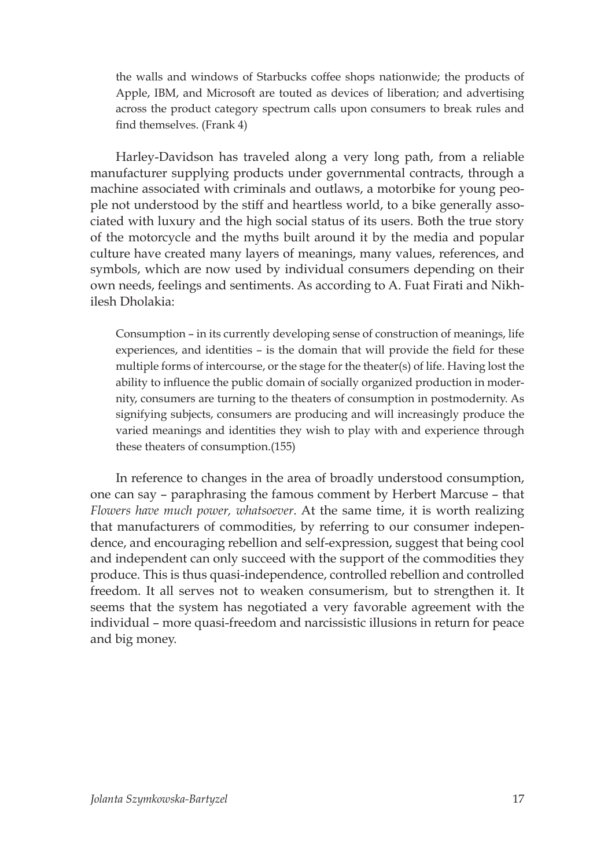the walls and windows of Starbucks coffee shops nationwide; the products of Apple, IBM, and Microsoft are touted as devices of liberation; and advertising across the product category spectrum calls upon consumers to break rules and find themselves. (Frank 4)

Harley-Davidson has traveled along a very long path, from a reliable manufacturer supplying products under governmental contracts, through a machine associated with criminals and outlaws, a motorbike for young people not understood by the stiff and heartless world, to a bike generally associated with luxury and the high social status of its users. Both the true story of the motorcycle and the myths built around it by the media and popular culture have created many layers of meanings, many values, references, and symbols, which are now used by individual consumers depending on their own needs, feelings and sentiments. As according to A. Fuat Firati and Nikhilesh Dholakia:

Consumption – in its currently developing sense of construction of meanings, life experiences, and identities – is the domain that will provide the field for these multiple forms of intercourse, or the stage for the theater(s) of life. Having lost the ability to influence the public domain of socially organized production in modernity, consumers are turning to the theaters of consumption in postmodernity. As signifying subjects, consumers are producing and will increasingly produce the varied meanings and identities they wish to play with and experience through these theaters of consumption.(155)

In reference to changes in the area of broadly understood consumption, one can say – paraphrasing the famous comment by Herbert Marcuse – that *Flowers have much power, whatsoever*. At the same time, it is worth realizing that manufacturers of commodities, by referring to our consumer independence, and encouraging rebellion and self-expression, suggest that being cool and independent can only succeed with the support of the commodities they produce. This is thus quasi-independence, controlled rebellion and controlled freedom. It all serves not to weaken consumerism, but to strengthen it. It seems that the system has negotiated a very favorable agreement with the individual – more quasi-freedom and narcissistic illusions in return for peace and big money.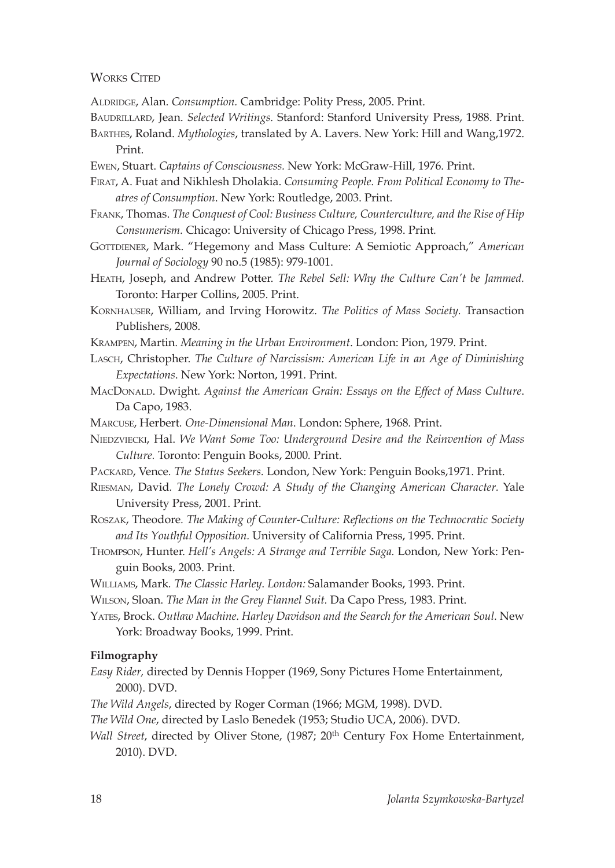### WORKS CITED

- Aldridge, Alan. *Consumption.* Cambridge: Polity Press, 2005. Print.
- Baudrillard, Jean. *Selected Writings.* Stanford: Stanford University Press, 1988. Print.
- Barthes, Roland. *Mythologies*, translated by A. Lavers. New York: Hill and Wang,1972. Print.
- Ewen, Stuart. *Captains of Consciousness.* New York: McGraw-Hill, 1976. Print.
- Firat, A. Fuat and Nikhlesh Dholakia. *Consuming People. From Political Economy to Theatres of Consumption*. New York: Routledge, 2003. Print.
- Frank, Thomas. *The Conquest of Cool: Business Culture, Counterculture, and the Rise of Hip Consumerism.* Chicago: University of Chicago Press, 1998. Print*.*
- GOTTDIENER, Mark. "Hegemony and Mass Culture: A Semiotic Approach," American *Journal of Sociology* 90 no.5 (1985): 979-1001.
- Heath, Joseph, and Andrew Potter. *The Rebel Sell: Why the Culture Can't be Jammed.* Toronto: Harper Collins, 2005. Print.
- Kornhauser, William, and Irving Horowitz. *The Politics of Mass Society.* Transaction Publishers, 2008*.*
- Krampen, Martin*. Meaning in the Urban Environment*. London: Pion, 1979*.* Print.
- Lasch, Christopher. *The Culture of Narcissism: American Life in an Age of Diminishing Expectations*. New York: Norton, 1991*.* Print.
- MacDonald. Dwight*. Against the American Grain: Essays on the Effect of Mass Culture*. Da Capo, 1983.
- Marcuse, Herbert*. One-Dimensional Man*. London: Sphere, 1968*.* Print.
- Niedzviecki, Hal. *We Want Some Too: Underground Desire and the Reinvention of Mass Culture.* Toronto: Penguin Books, 2000*.* Print.
- Packard, Vence*. The Status Seekers.* London, New York: Penguin Books,1971. Print.
- Riesman, David*. The Lonely Crowd: A Study of the Changing American Character.* Yale University Press, 2001. Print.
- Roszak, Theodore*. The Making of Counter-Culture: Reflections on the Technocratic Society and Its Youthful Opposition.* University of California Press, 1995. Print.
- Thompson, Hunter. *Hell's Angels: A Strange and Terrible Saga.* London, New York: Penguin Books, 2003. Print.
- Williams, Mark*. The Classic Harley*. *London:* Salamander Books, 1993. Print.
- Wilson, Sloan. *The Man in the Grey Flannel Suit.* Da Capo Press, 1983. Print.
- Yates, Brock. *Outlaw Machine. Harley Davidson and the Search for the American Soul.* New York: Broadway Books, 1999. Print.

#### **Filmography**

- *Easy Rider,* directed by Dennis Hopper (1969, Sony Pictures Home Entertainment, 2000). DVD.
- *The Wild Angels*, directed by Roger Corman (1966; MGM, 1998). DVD.
- *The Wild One*, directed by Laslo Benedek (1953; Studio UCA, 2006). DVD.
- *Wall Street*, directed by Oliver Stone, (1987; 20<sup>th</sup> Century Fox Home Entertainment, 2010). DVD.